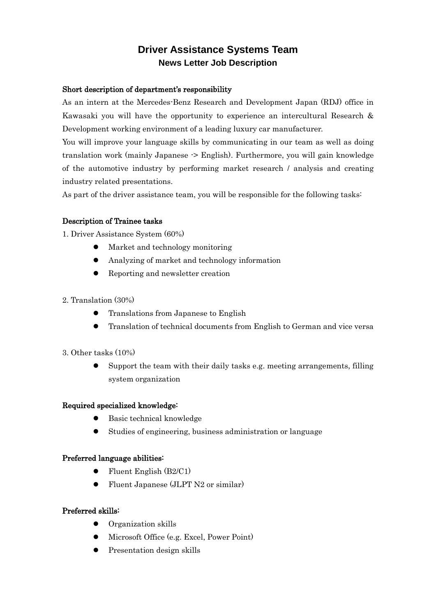# **Driver Assistance Systems Team News Letter Job Description**

### Short description of department's responsibility

As an intern at the Mercedes-Benz Research and Development Japan (RDJ) office in Kawasaki you will have the opportunity to experience an intercultural Research & Development working environment of a leading luxury car manufacturer.

You will improve your language skills by communicating in our team as well as doing translation work (mainly Japanese -> English). Furthermore, you will gain knowledge of the automotive industry by performing market research / analysis and creating industry related presentations.

As part of the driver assistance team, you will be responsible for the following tasks:

## Description of Trainee tasks

1. Driver Assistance System (60%)

- Market and technology monitoring
- Analyzing of market and technology information
- Reporting and newsletter creation
- 2. Translation (30%)
	- **•** Translations from Japanese to English
	- Translation of technical documents from English to German and vice versa
- 3. Other tasks (10%)
	- $\bullet$  Support the team with their daily tasks e.g. meeting arrangements, filling system organization

#### Required specialized knowledge:

- Basic technical knowledge
- Studies of engineering, business administration or language

#### Preferred language abilities:

- $\bullet$  Fluent English (B2/C1)
- Fluent Japanese (JLPT N2 or similar)

#### Preferred skills:

- Organization skills
- Microsoft Office (e.g. Excel, Power Point)
- Presentation design skills